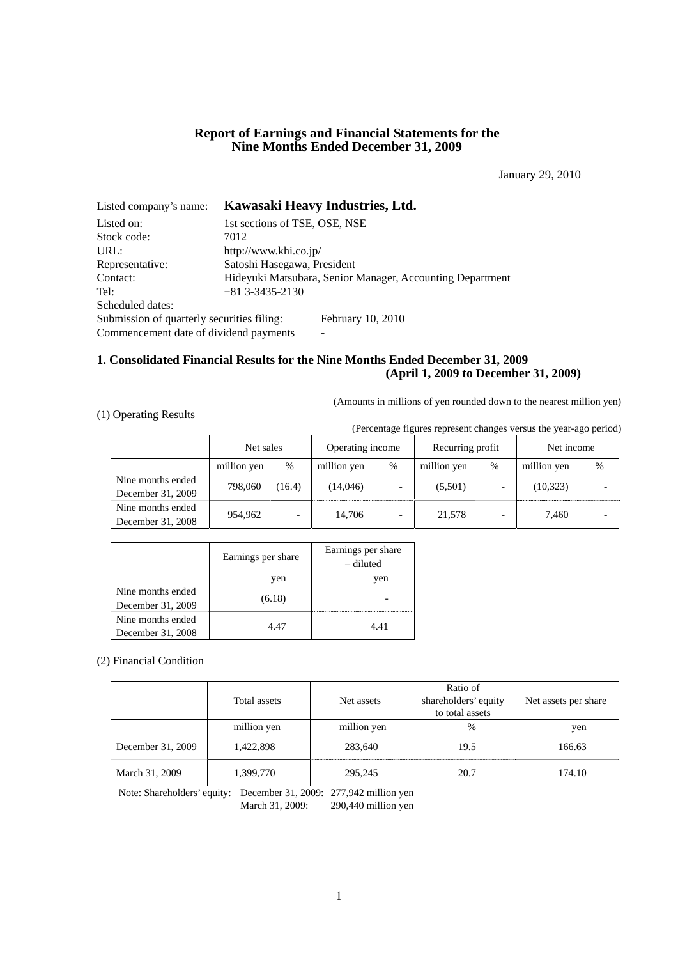# **Report of Earnings and Financial Statements for the Nine Months Ended December 31, 2009**

January 29, 2010

| Listed company's name:                     | Kawasaki Heavy Industries, Ltd.                           |  |  |  |  |
|--------------------------------------------|-----------------------------------------------------------|--|--|--|--|
| Listed on:                                 | 1st sections of TSE, OSE, NSE                             |  |  |  |  |
| Stock code:                                | 7012                                                      |  |  |  |  |
| URL:                                       | http://www.khi.co.jp/                                     |  |  |  |  |
| Representative:                            | Satoshi Hasegawa, President                               |  |  |  |  |
| Contact:                                   | Hideyuki Matsubara, Senior Manager, Accounting Department |  |  |  |  |
| Tel:                                       | $+81$ 3-3435-2130                                         |  |  |  |  |
| Scheduled dates:                           |                                                           |  |  |  |  |
| Submission of quarterly securities filing: | February 10, 2010                                         |  |  |  |  |
| Commencement date of dividend payments     | -                                                         |  |  |  |  |

# **1. Consolidated Financial Results for the Nine Months Ended December 31, 2009 (April 1, 2009 to December 31, 2009)**

(Amounts in millions of yen rounded down to the nearest million yen)

## (1) Operating Results

(Percentage figures represent changes versus the year-ago period)

|                                        | Net sales   |        | Operating income |      | Recurring profit |      | Net income  |      |
|----------------------------------------|-------------|--------|------------------|------|------------------|------|-------------|------|
|                                        | million yen | %      | million yen      | $\%$ | million yen      | $\%$ | million yen | $\%$ |
| Nine months ended<br>December 31, 2009 | 798,060     | (16.4) | (14.046)         |      | (5,501)          |      | (10, 323)   |      |
| Nine months ended<br>December 31, 2008 | 954,962     |        | 14.706           |      | 21,578           |      | 7.460       |      |

|                                        | Earnings per share | Earnings per share<br>– diluted |
|----------------------------------------|--------------------|---------------------------------|
|                                        | yen                | yen                             |
| Nine months ended<br>December 31, 2009 | (6.18)             |                                 |
| Nine months ended<br>December 31, 2008 | 4.47               | 4.41                            |

(2) Financial Condition

|                   | Total assets | Net assets  | Ratio of<br>shareholders' equity<br>to total assets | Net assets per share |
|-------------------|--------------|-------------|-----------------------------------------------------|----------------------|
|                   | million yen  | million yen | %                                                   | yen                  |
| December 31, 2009 | 1,422,898    | 283,640     | 19.5                                                | 166.63               |
| March 31, 2009    | 1,399,770    | 295,245     | 20.7                                                | 174.10               |

Note: Shareholders' equity: December 31, 2009: 277,942 million yen

March 31, 2009: 290,440 million yen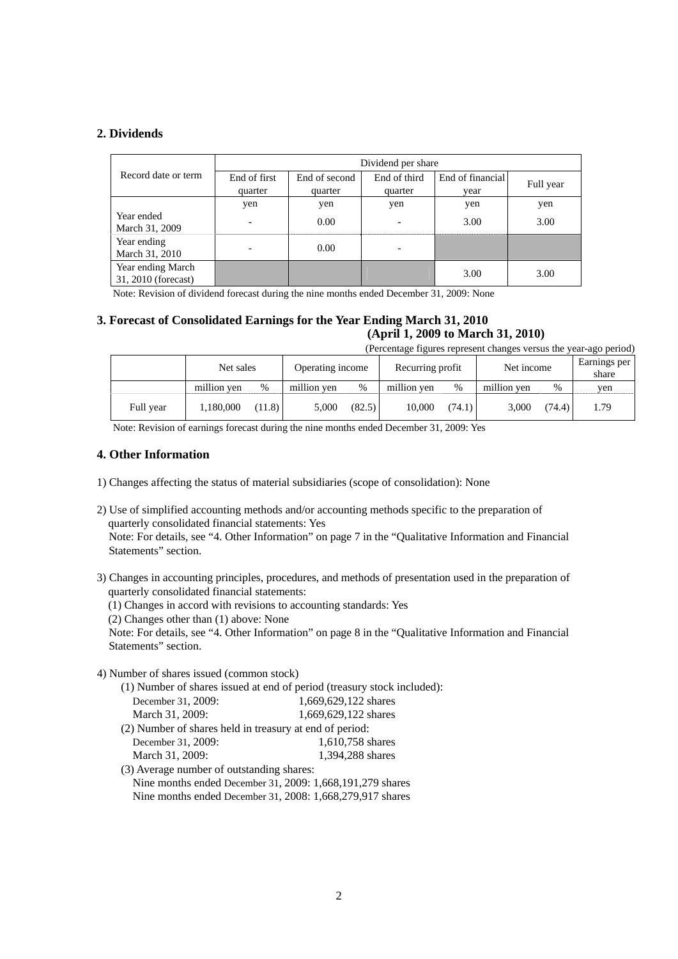# **2. Dividends**

|                                          | Dividend per share       |               |              |                  |           |  |  |  |
|------------------------------------------|--------------------------|---------------|--------------|------------------|-----------|--|--|--|
| Record date or term                      | End of first             | End of second | End of third | End of financial | Full year |  |  |  |
|                                          | quarter                  | quarter       | quarter      | vear             |           |  |  |  |
|                                          | yen                      | yen           | yen          | yen              | yen       |  |  |  |
| Year ended<br>March 31, 2009             | $\overline{\phantom{a}}$ | 0.00          | ۰            | 3.00             | 3.00      |  |  |  |
| Year ending<br>March 31, 2010            |                          | 0.00          |              |                  |           |  |  |  |
| Year ending March<br>31, 2010 (forecast) |                          |               |              | 3.00             | 3.00      |  |  |  |

Note: Revision of dividend forecast during the nine months ended December 31, 2009: None

# **3. Forecast of Consolidated Earnings for the Year Ending March 31, 2010 (April 1, 2009 to March 31, 2010)**

(Percentage figures represent changes versus the year-ago period)

|           | Net sales   |        | Operating income |        | Recurring profit |        | Net income  |        | Earnings per<br>share |
|-----------|-------------|--------|------------------|--------|------------------|--------|-------------|--------|-----------------------|
|           | million yen | %      | million yen      | $\%$   | million ven      | %      | million yen | $\%$   | yen                   |
| Full year | 1,180,000   | (11.8) | 5,000            | (82.5) | 10.000           | (74.1) | 3.000       | (74.4) | 1.79                  |

Note: Revision of earnings forecast during the nine months ended December 31, 2009: Yes

## **4. Other Information**

- 1) Changes affecting the status of material subsidiaries (scope of consolidation): None
- 2) Use of simplified accounting methods and/or accounting methods specific to the preparation of quarterly consolidated financial statements: Yes Note: For details, see "4. Other Information" on page 7 in the "Qualitative Information and Financial Statements" section.
- 3) Changes in accounting principles, procedures, and methods of presentation used in the preparation of quarterly consolidated financial statements:
	- (1) Changes in accord with revisions to accounting standards: Yes
	- (2) Changes other than (1) above: None

Note: For details, see "4. Other Information" on page 8 in the "Qualitative Information and Financial Statements" section.

4) Number of shares issued (common stock)

(1) Number of shares issued at end of period (treasury stock included):

| December 31, 2009:                                      | 1,669,629,122 shares |
|---------------------------------------------------------|----------------------|
| March 31, 2009:                                         | 1.669.629.122 shares |
| (2) Number of shares held in treasury at end of period: |                      |

| December 31, 2009: | 1,610,758 shares |
|--------------------|------------------|
| March 31, 2009:    | 1,394,288 shares |

(3) Average number of outstanding shares: Nine months ended December 31, 2009: 1,668,191,279 shares Nine months ended December 31, 2008: 1,668,279,917 shares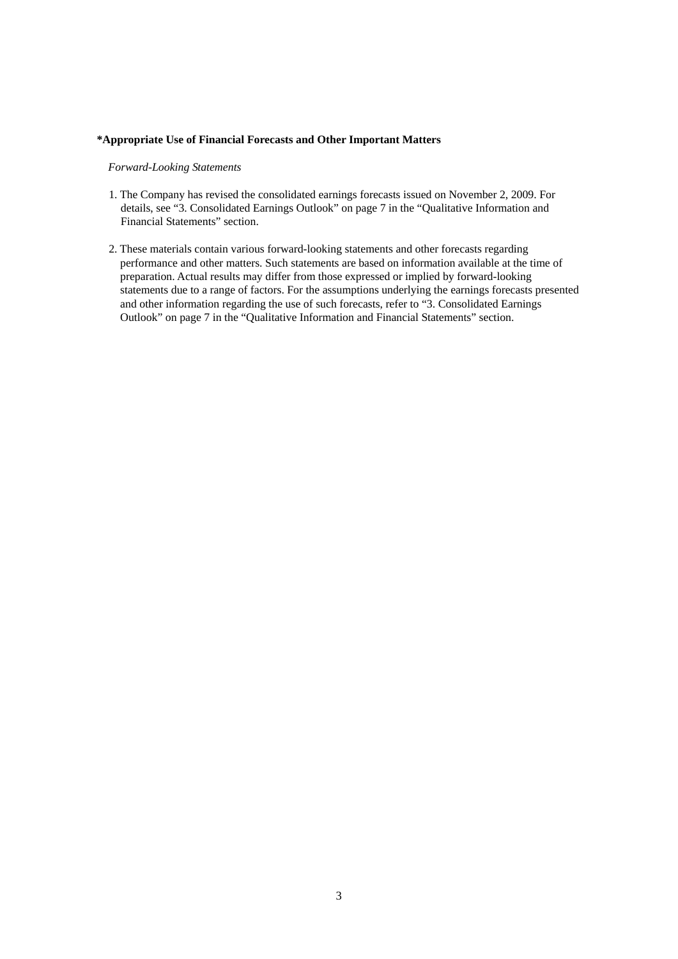### **\*Appropriate Use of Financial Forecasts and Other Important Matters**

*Forward-Looking Statements* 

- 1. The Company has revised the consolidated earnings forecasts issued on November 2, 2009. For details, see "3. Consolidated Earnings Outlook" on page 7 in the "Qualitative Information and Financial Statements" section.
- 2. These materials contain various forward-looking statements and other forecasts regarding performance and other matters. Such statements are based on information available at the time of preparation. Actual results may differ from those expressed or implied by forward-looking statements due to a range of factors. For the assumptions underlying the earnings forecasts presented and other information regarding the use of such forecasts, refer to "3. Consolidated Earnings Outlook" on page 7 in the "Qualitative Information and Financial Statements" section.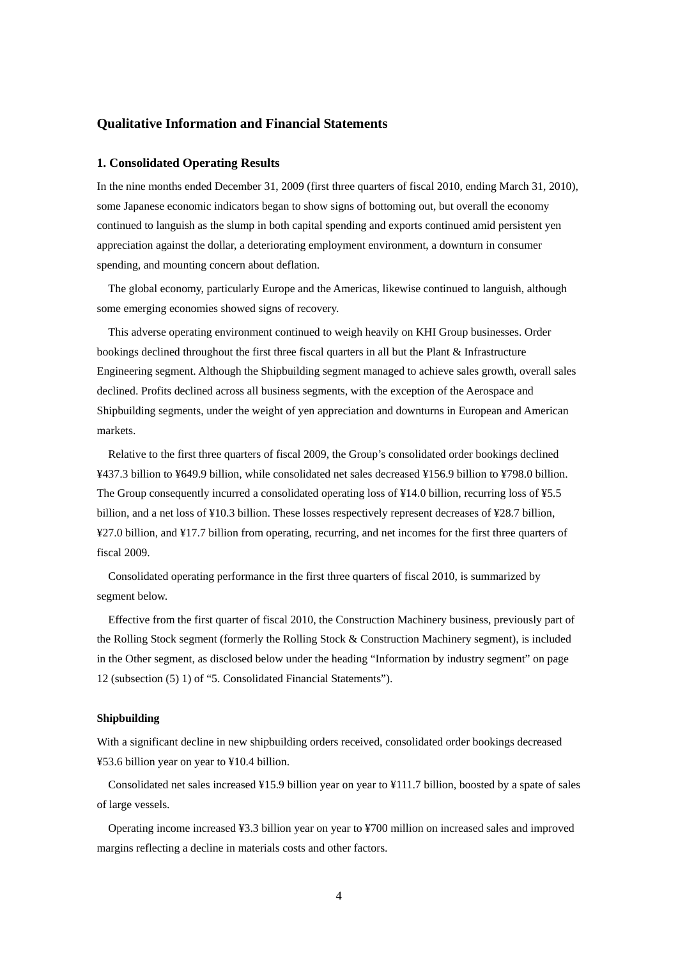## **Qualitative Information and Financial Statements**

## **1. Consolidated Operating Results**

In the nine months ended December 31, 2009 (first three quarters of fiscal 2010, ending March 31, 2010), some Japanese economic indicators began to show signs of bottoming out, but overall the economy continued to languish as the slump in both capital spending and exports continued amid persistent yen appreciation against the dollar, a deteriorating employment environment, a downturn in consumer spending, and mounting concern about deflation.

The global economy, particularly Europe and the Americas, likewise continued to languish, although some emerging economies showed signs of recovery.

This adverse operating environment continued to weigh heavily on KHI Group businesses. Order bookings declined throughout the first three fiscal quarters in all but the Plant & Infrastructure Engineering segment. Although the Shipbuilding segment managed to achieve sales growth, overall sales declined. Profits declined across all business segments, with the exception of the Aerospace and Shipbuilding segments, under the weight of yen appreciation and downturns in European and American markets.

Relative to the first three quarters of fiscal 2009, the Group's consolidated order bookings declined ¥437.3 billion to ¥649.9 billion, while consolidated net sales decreased ¥156.9 billion to ¥798.0 billion. The Group consequently incurred a consolidated operating loss of ¥14.0 billion, recurring loss of ¥5.5 billion, and a net loss of ¥10.3 billion. These losses respectively represent decreases of ¥28.7 billion, ¥27.0 billion, and ¥17.7 billion from operating, recurring, and net incomes for the first three quarters of fiscal 2009.

Consolidated operating performance in the first three quarters of fiscal 2010, is summarized by segment below.

Effective from the first quarter of fiscal 2010, the Construction Machinery business, previously part of the Rolling Stock segment (formerly the Rolling Stock & Construction Machinery segment), is included in the Other segment, as disclosed below under the heading "Information by industry segment" on page 12 (subsection (5) 1) of "5. Consolidated Financial Statements").

## **Shipbuilding**

With a significant decline in new shipbuilding orders received, consolidated order bookings decreased ¥53.6 billion year on year to ¥10.4 billion.

Consolidated net sales increased ¥15.9 billion year on year to ¥111.7 billion, boosted by a spate of sales of large vessels.

Operating income increased ¥3.3 billion year on year to ¥700 million on increased sales and improved margins reflecting a decline in materials costs and other factors.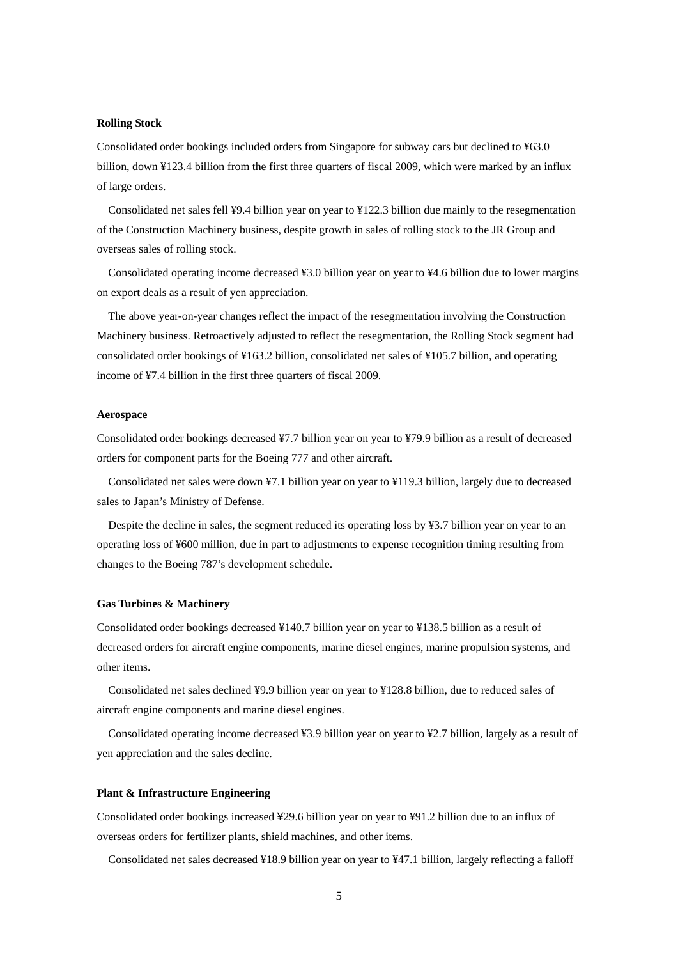### **Rolling Stock**

Consolidated order bookings included orders from Singapore for subway cars but declined to ¥63.0 billion, down ¥123.4 billion from the first three quarters of fiscal 2009, which were marked by an influx of large orders.

Consolidated net sales fell ¥9.4 billion year on year to ¥122.3 billion due mainly to the resegmentation of the Construction Machinery business, despite growth in sales of rolling stock to the JR Group and overseas sales of rolling stock.

Consolidated operating income decreased ¥3.0 billion year on year to ¥4.6 billion due to lower margins on export deals as a result of yen appreciation.

The above year-on-year changes reflect the impact of the resegmentation involving the Construction Machinery business. Retroactively adjusted to reflect the resegmentation, the Rolling Stock segment had consolidated order bookings of ¥163.2 billion, consolidated net sales of ¥105.7 billion, and operating income of ¥7.4 billion in the first three quarters of fiscal 2009.

#### **Aerospace**

Consolidated order bookings decreased ¥7.7 billion year on year to ¥79.9 billion as a result of decreased orders for component parts for the Boeing 777 and other aircraft.

Consolidated net sales were down ¥7.1 billion year on year to ¥119.3 billion, largely due to decreased sales to Japan's Ministry of Defense.

Despite the decline in sales, the segment reduced its operating loss by ¥3.7 billion year on year to an operating loss of ¥600 million, due in part to adjustments to expense recognition timing resulting from changes to the Boeing 787's development schedule.

## **Gas Turbines & Machinery**

Consolidated order bookings decreased ¥140.7 billion year on year to ¥138.5 billion as a result of decreased orders for aircraft engine components, marine diesel engines, marine propulsion systems, and other items.

Consolidated net sales declined ¥9.9 billion year on year to ¥128.8 billion, due to reduced sales of aircraft engine components and marine diesel engines.

Consolidated operating income decreased ¥3.9 billion year on year to ¥2.7 billion, largely as a result of yen appreciation and the sales decline.

## **Plant & Infrastructure Engineering**

Consolidated order bookings increased ¥29.6 billion year on year to ¥91.2 billion due to an influx of overseas orders for fertilizer plants, shield machines, and other items.

Consolidated net sales decreased ¥18.9 billion year on year to ¥47.1 billion, largely reflecting a falloff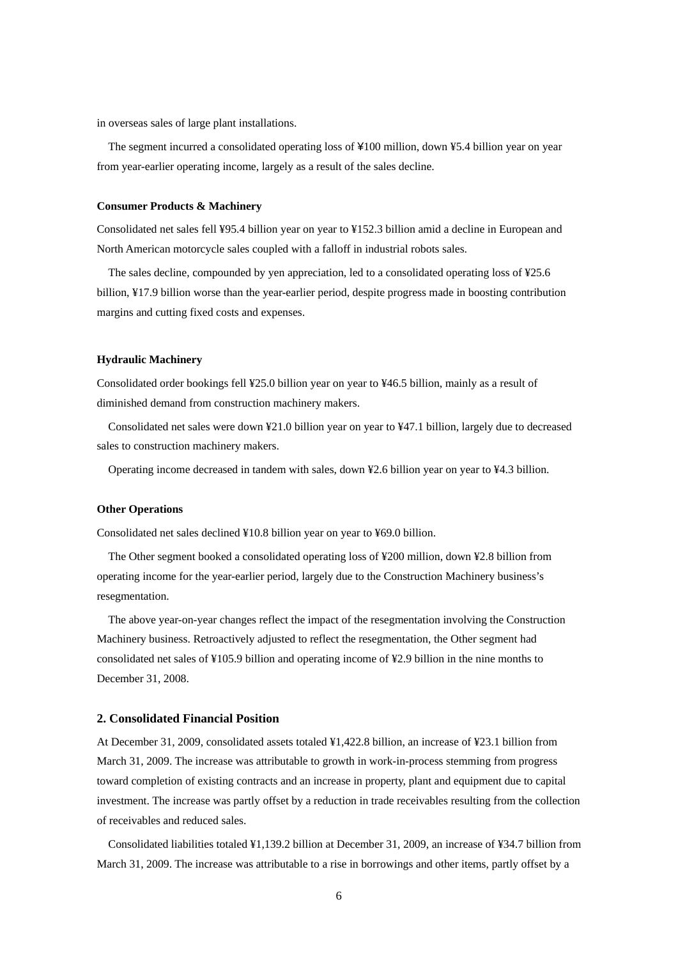in overseas sales of large plant installations.

The segment incurred a consolidated operating loss of ¥100 million, down ¥5.4 billion year on year from year-earlier operating income, largely as a result of the sales decline.

### **Consumer Products & Machinery**

Consolidated net sales fell ¥95.4 billion year on year to ¥152.3 billion amid a decline in European and North American motorcycle sales coupled with a falloff in industrial robots sales.

The sales decline, compounded by yen appreciation, led to a consolidated operating loss of ¥25.6 billion, ¥17.9 billion worse than the year-earlier period, despite progress made in boosting contribution margins and cutting fixed costs and expenses.

### **Hydraulic Machinery**

Consolidated order bookings fell ¥25.0 billion year on year to ¥46.5 billion, mainly as a result of diminished demand from construction machinery makers.

Consolidated net sales were down ¥21.0 billion year on year to ¥47.1 billion, largely due to decreased sales to construction machinery makers.

Operating income decreased in tandem with sales, down ¥2.6 billion year on year to ¥4.3 billion.

### **Other Operations**

Consolidated net sales declined ¥10.8 billion year on year to ¥69.0 billion.

The Other segment booked a consolidated operating loss of ¥200 million, down ¥2.8 billion from operating income for the year-earlier period, largely due to the Construction Machinery business's resegmentation.

The above year-on-year changes reflect the impact of the resegmentation involving the Construction Machinery business. Retroactively adjusted to reflect the resegmentation, the Other segment had consolidated net sales of ¥105.9 billion and operating income of ¥2.9 billion in the nine months to December 31, 2008.

### **2. Consolidated Financial Position**

At December 31, 2009, consolidated assets totaled ¥1,422.8 billion, an increase of ¥23.1 billion from March 31, 2009. The increase was attributable to growth in work-in-process stemming from progress toward completion of existing contracts and an increase in property, plant and equipment due to capital investment. The increase was partly offset by a reduction in trade receivables resulting from the collection of receivables and reduced sales.

Consolidated liabilities totaled ¥1,139.2 billion at December 31, 2009, an increase of ¥34.7 billion from March 31, 2009. The increase was attributable to a rise in borrowings and other items, partly offset by a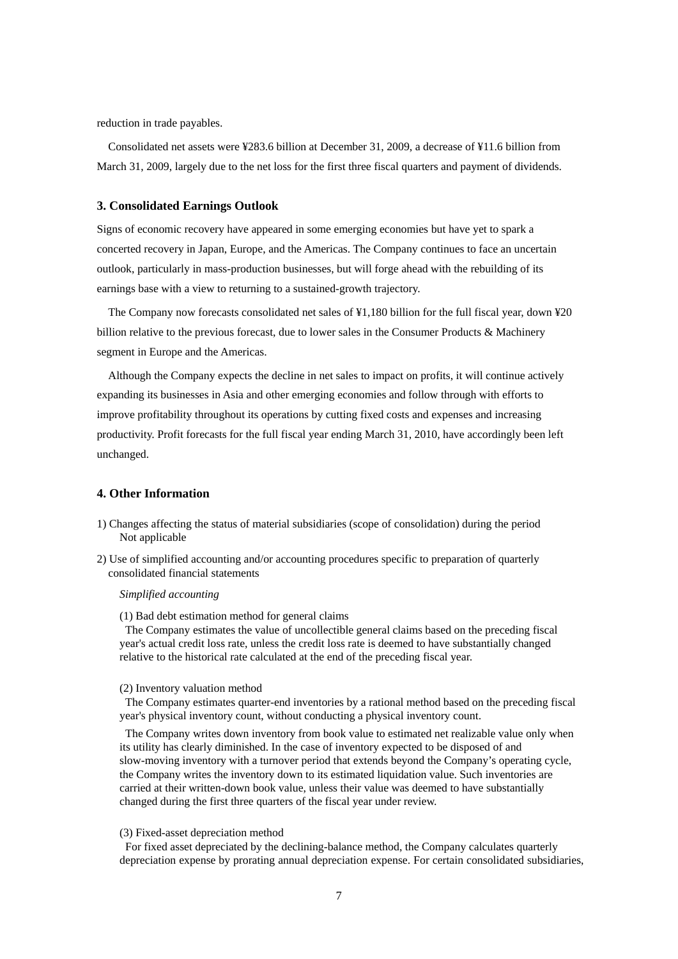reduction in trade payables.

Consolidated net assets were ¥283.6 billion at December 31, 2009, a decrease of ¥11.6 billion from March 31, 2009, largely due to the net loss for the first three fiscal quarters and payment of dividends.

## **3. Consolidated Earnings Outlook**

Signs of economic recovery have appeared in some emerging economies but have yet to spark a concerted recovery in Japan, Europe, and the Americas. The Company continues to face an uncertain outlook, particularly in mass-production businesses, but will forge ahead with the rebuilding of its earnings base with a view to returning to a sustained-growth trajectory.

The Company now forecasts consolidated net sales of ¥1,180 billion for the full fiscal year, down ¥20 billion relative to the previous forecast, due to lower sales in the Consumer Products & Machinery segment in Europe and the Americas.

Although the Company expects the decline in net sales to impact on profits, it will continue actively expanding its businesses in Asia and other emerging economies and follow through with efforts to improve profitability throughout its operations by cutting fixed costs and expenses and increasing productivity. Profit forecasts for the full fiscal year ending March 31, 2010, have accordingly been left unchanged.

# **4. Other Information**

- 1) Changes affecting the status of material subsidiaries (scope of consolidation) during the period Not applicable
- 2) Use of simplified accounting and/or accounting procedures specific to preparation of quarterly consolidated financial statements

## *Simplified accounting*

(1) Bad debt estimation method for general claims

The Company estimates the value of uncollectible general claims based on the preceding fiscal year's actual credit loss rate, unless the credit loss rate is deemed to have substantially changed relative to the historical rate calculated at the end of the preceding fiscal year.

#### (2) Inventory valuation method

The Company estimates quarter-end inventories by a rational method based on the preceding fiscal year's physical inventory count, without conducting a physical inventory count.

The Company writes down inventory from book value to estimated net realizable value only when its utility has clearly diminished. In the case of inventory expected to be disposed of and slow-moving inventory with a turnover period that extends beyond the Company's operating cycle, the Company writes the inventory down to its estimated liquidation value. Such inventories are carried at their written-down book value, unless their value was deemed to have substantially changed during the first three quarters of the fiscal year under review.

### (3) Fixed-asset depreciation method

For fixed asset depreciated by the declining-balance method, the Company calculates quarterly depreciation expense by prorating annual depreciation expense. For certain consolidated subsidiaries,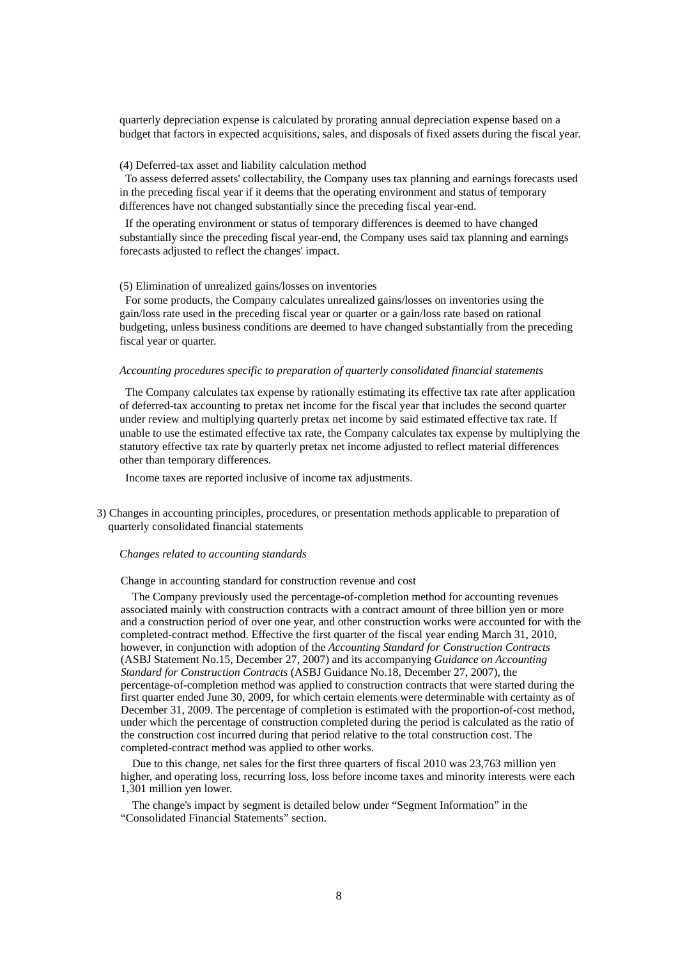quarterly depreciation expense is calculated by prorating annual depreciation expense based on a budget that factors in expected acquisitions, sales, and disposals of fixed assets during the fiscal year.

### (4) Deferred-tax asset and liability calculation method

To assess deferred assets' collectability, the Company uses tax planning and earnings forecasts used in the preceding fiscal year if it deems that the operating environment and status of temporary differences have not changed substantially since the preceding fiscal year-end.

If the operating environment or status of temporary differences is deemed to have changed substantially since the preceding fiscal year-end, the Company uses said tax planning and earnings forecasts adjusted to reflect the changes' impact.

#### (5) Elimination of unrealized gains/losses on inventories

For some products, the Company calculates unrealized gains/losses on inventories using the gain/loss rate used in the preceding fiscal year or quarter or a gain/loss rate based on rational budgeting, unless business conditions are deemed to have changed substantially from the preceding fiscal year or quarter.

### *Accounting procedures specific to preparation of quarterly consolidated financial statements*

The Company calculates tax expense by rationally estimating its effective tax rate after application of deferred-tax accounting to pretax net income for the fiscal year that includes the second quarter under review and multiplying quarterly pretax net income by said estimated effective tax rate. If unable to use the estimated effective tax rate, the Company calculates tax expense by multiplying the statutory effective tax rate by quarterly pretax net income adjusted to reflect material differences other than temporary differences.

Income taxes are reported inclusive of income tax adjustments.

3) Changes in accounting principles, procedures, or presentation methods applicable to preparation of quarterly consolidated financial statements

### *Changes related to accounting standards*

### Change in accounting standard for construction revenue and cost

The Company previously used the percentage-of-completion method for accounting revenues associated mainly with construction contracts with a contract amount of three billion yen or more and a construction period of over one year, and other construction works were accounted for with the completed-contract method. Effective the first quarter of the fiscal year ending March 31, 2010, however, in conjunction with adoption of the *Accounting Standard for Construction Contracts*  (ASBJ Statement No.15, December 27, 2007) and its accompanying *Guidance on Accounting Standard for Construction Contracts* (ASBJ Guidance No.18, December 27, 2007), the percentage-of-completion method was applied to construction contracts that were started during the first quarter ended June 30, 2009, for which certain elements were determinable with certainty as of December 31, 2009. The percentage of completion is estimated with the proportion-of-cost method, under which the percentage of construction completed during the period is calculated as the ratio of the construction cost incurred during that period relative to the total construction cost. The completed-contract method was applied to other works.

Due to this change, net sales for the first three quarters of fiscal 2010 was 23,763 million yen higher, and operating loss, recurring loss, loss before income taxes and minority interests were each 1,301 million yen lower.

The change's impact by segment is detailed below under "Segment Information" in the "Consolidated Financial Statements" section.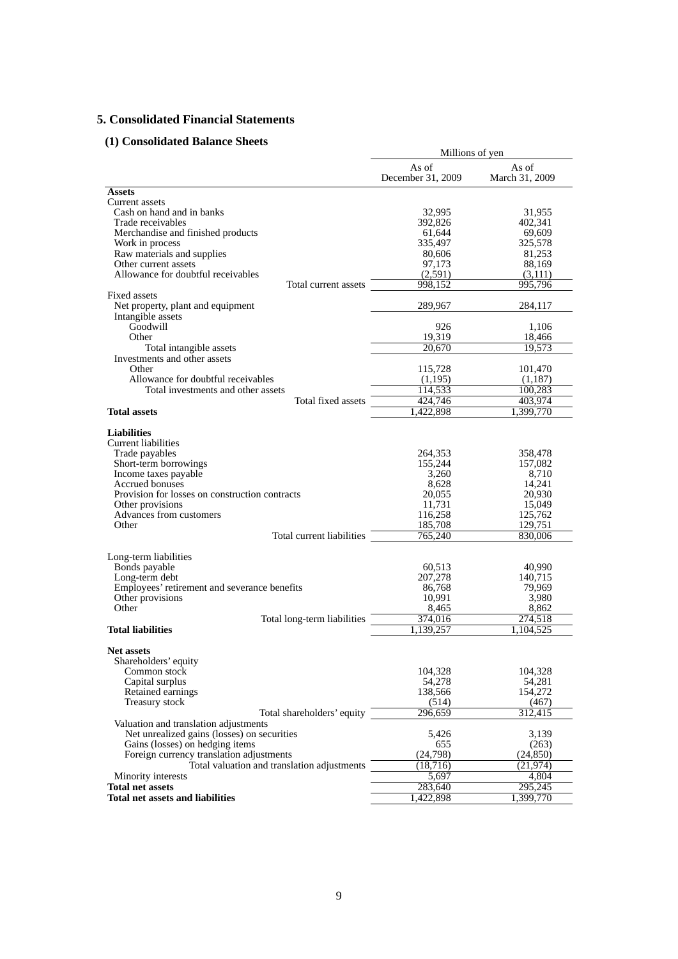# **5. Consolidated Financial Statements**

# **(1) Consolidated Balance Sheets**

| onsonuateu Danance oncets                                                                                                                                                                                                                                                                                                                                                                                                                                                  | Millions of yen                                                                                                                                                     |                                                                                                                                                                     |  |
|----------------------------------------------------------------------------------------------------------------------------------------------------------------------------------------------------------------------------------------------------------------------------------------------------------------------------------------------------------------------------------------------------------------------------------------------------------------------------|---------------------------------------------------------------------------------------------------------------------------------------------------------------------|---------------------------------------------------------------------------------------------------------------------------------------------------------------------|--|
|                                                                                                                                                                                                                                                                                                                                                                                                                                                                            | As of<br>December 31, 2009                                                                                                                                          | As of<br>March 31, 2009                                                                                                                                             |  |
| <b>Assets</b>                                                                                                                                                                                                                                                                                                                                                                                                                                                              |                                                                                                                                                                     |                                                                                                                                                                     |  |
| Current assets                                                                                                                                                                                                                                                                                                                                                                                                                                                             |                                                                                                                                                                     |                                                                                                                                                                     |  |
| Cash on hand and in banks                                                                                                                                                                                                                                                                                                                                                                                                                                                  | 32,995                                                                                                                                                              | 31,955                                                                                                                                                              |  |
| Trade receivables                                                                                                                                                                                                                                                                                                                                                                                                                                                          | 392,826                                                                                                                                                             | 402,341                                                                                                                                                             |  |
| Merchandise and finished products                                                                                                                                                                                                                                                                                                                                                                                                                                          | 61,644                                                                                                                                                              | 69,609                                                                                                                                                              |  |
| Work in process                                                                                                                                                                                                                                                                                                                                                                                                                                                            | 335,497                                                                                                                                                             | 325,578                                                                                                                                                             |  |
| Raw materials and supplies                                                                                                                                                                                                                                                                                                                                                                                                                                                 | 80,606                                                                                                                                                              | 81,253                                                                                                                                                              |  |
| Other current assets<br>Allowance for doubtful receivables                                                                                                                                                                                                                                                                                                                                                                                                                 | 97,173<br>(2,591)                                                                                                                                                   | 88,169<br>(3,111)                                                                                                                                                   |  |
| Total current assets                                                                                                                                                                                                                                                                                                                                                                                                                                                       | 998,152                                                                                                                                                             | 995.796                                                                                                                                                             |  |
| Fixed assets                                                                                                                                                                                                                                                                                                                                                                                                                                                               |                                                                                                                                                                     |                                                                                                                                                                     |  |
| Net property, plant and equipment                                                                                                                                                                                                                                                                                                                                                                                                                                          | 289,967                                                                                                                                                             | 284,117                                                                                                                                                             |  |
| Intangible assets                                                                                                                                                                                                                                                                                                                                                                                                                                                          |                                                                                                                                                                     |                                                                                                                                                                     |  |
| Goodwill                                                                                                                                                                                                                                                                                                                                                                                                                                                                   | 926                                                                                                                                                                 | 1,106                                                                                                                                                               |  |
| Other                                                                                                                                                                                                                                                                                                                                                                                                                                                                      | 19,319                                                                                                                                                              | 18,466                                                                                                                                                              |  |
| Total intangible assets                                                                                                                                                                                                                                                                                                                                                                                                                                                    | 20,670                                                                                                                                                              | 19,573                                                                                                                                                              |  |
| Investments and other assets                                                                                                                                                                                                                                                                                                                                                                                                                                               |                                                                                                                                                                     |                                                                                                                                                                     |  |
| Other                                                                                                                                                                                                                                                                                                                                                                                                                                                                      | 115,728                                                                                                                                                             | 101,470                                                                                                                                                             |  |
| Allowance for doubtful receivables                                                                                                                                                                                                                                                                                                                                                                                                                                         | (1,195)                                                                                                                                                             | (1,187)                                                                                                                                                             |  |
| Total investments and other assets                                                                                                                                                                                                                                                                                                                                                                                                                                         | 114,533                                                                                                                                                             | 100,283                                                                                                                                                             |  |
| Total fixed assets                                                                                                                                                                                                                                                                                                                                                                                                                                                         | 424,746                                                                                                                                                             | 403,974                                                                                                                                                             |  |
| <b>Total assets</b>                                                                                                                                                                                                                                                                                                                                                                                                                                                        | 422,898                                                                                                                                                             | 1,399,770                                                                                                                                                           |  |
| <b>Liabilities</b><br>Current liabilities<br>Trade payables<br>Short-term borrowings<br>Income taxes payable<br>Accrued bonuses<br>Provision for losses on construction contracts<br>Other provisions<br>Advances from customers<br>Other<br>Total current liabilities<br>Long-term liabilities<br>Bonds payable<br>Long-term debt<br>Employees' retirement and severance benefits<br>Other provisions<br>Other<br>Total long-term liabilities<br><b>Total liabilities</b> | 264,353<br>155,244<br>3,260<br>8,628<br>20,055<br>11,731<br>116,258<br>185,708<br>765,240<br>60,513<br>207,278<br>86,768<br>10,991<br>8,465<br>374,016<br>1,139,257 | 358,478<br>157,082<br>8,710<br>14,241<br>20,930<br>15,049<br>125,762<br>129,751<br>830,006<br>40,990<br>140,715<br>79,969<br>3,980<br>8,862<br>274,518<br>1,104,525 |  |
|                                                                                                                                                                                                                                                                                                                                                                                                                                                                            |                                                                                                                                                                     |                                                                                                                                                                     |  |
| <b>Net assets</b><br>Shareholders' equity<br>Common stock<br>Capital surplus<br>Retained earnings<br>Treasury stock                                                                                                                                                                                                                                                                                                                                                        | 104,328<br>54,278<br>138,566<br>(514)                                                                                                                               | 104,328<br>54,281<br>154,272<br>(467)                                                                                                                               |  |
| Total shareholders' equity                                                                                                                                                                                                                                                                                                                                                                                                                                                 | 296,659                                                                                                                                                             | 312,415                                                                                                                                                             |  |
| Valuation and translation adjustments<br>Net unrealized gains (losses) on securities<br>Gains (losses) on hedging items<br>Foreign currency translation adjustments<br>Total valuation and translation adjustments                                                                                                                                                                                                                                                         | 5,426<br>655<br>(24,798)<br>(18, 716)                                                                                                                               | 3,139<br>(263)<br>(24, 850)<br>(21, 974)                                                                                                                            |  |
| Minority interests                                                                                                                                                                                                                                                                                                                                                                                                                                                         | 5,697                                                                                                                                                               | 4,804                                                                                                                                                               |  |
| <b>Total net assets</b>                                                                                                                                                                                                                                                                                                                                                                                                                                                    | 283,640                                                                                                                                                             | 295,245                                                                                                                                                             |  |
| <b>Total net assets and liabilities</b>                                                                                                                                                                                                                                                                                                                                                                                                                                    | 1,422,898                                                                                                                                                           | 1,399,770                                                                                                                                                           |  |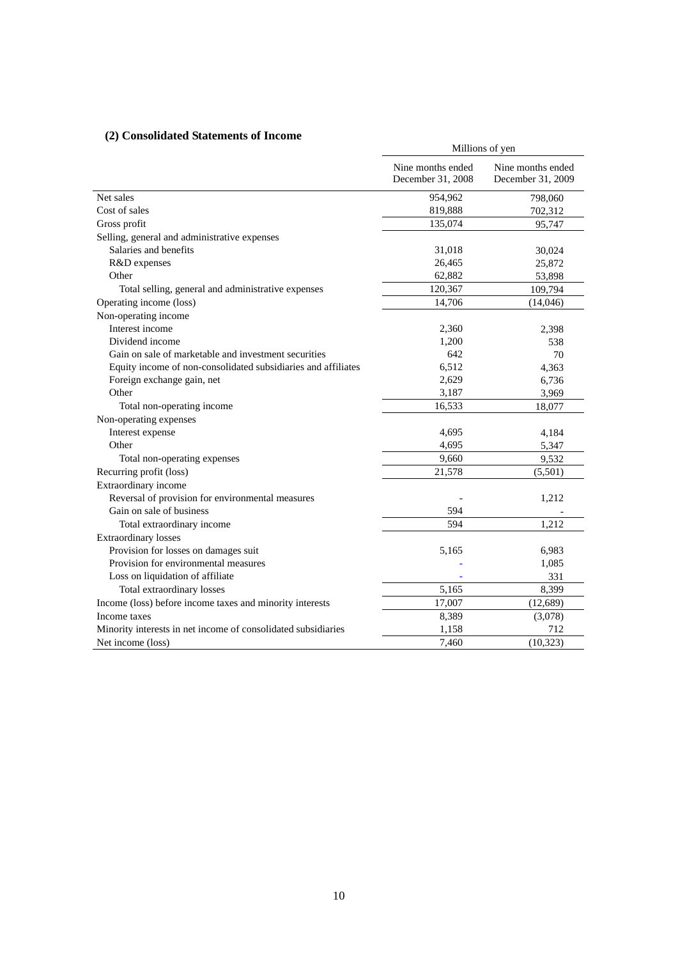# **(2) Consolidated Statements of Income**

| consolidated clatements of meonie                             | Millions of yen                        |                                        |  |
|---------------------------------------------------------------|----------------------------------------|----------------------------------------|--|
|                                                               | Nine months ended<br>December 31, 2008 | Nine months ended<br>December 31, 2009 |  |
| Net sales                                                     | 954,962                                | 798,060                                |  |
| Cost of sales                                                 | 819,888                                | 702,312                                |  |
| Gross profit                                                  | 135,074                                | 95,747                                 |  |
| Selling, general and administrative expenses                  |                                        |                                        |  |
| Salaries and benefits                                         | 31,018                                 | 30,024                                 |  |
| R&D expenses                                                  | 26,465                                 | 25,872                                 |  |
| Other                                                         | 62,882                                 | 53,898                                 |  |
| Total selling, general and administrative expenses            | 120,367                                | 109,794                                |  |
| Operating income (loss)                                       | 14,706                                 | (14,046)                               |  |
| Non-operating income                                          |                                        |                                        |  |
| Interest income                                               | 2,360                                  | 2,398                                  |  |
| Dividend income                                               | 1,200                                  | 538                                    |  |
| Gain on sale of marketable and investment securities          | 642                                    | 70                                     |  |
| Equity income of non-consolidated subsidiaries and affiliates | 6,512                                  | 4,363                                  |  |
| Foreign exchange gain, net                                    | 2,629                                  | 6,736                                  |  |
| Other                                                         | 3,187                                  | 3,969                                  |  |
| Total non-operating income                                    | 16,533                                 | 18,077                                 |  |
| Non-operating expenses                                        |                                        |                                        |  |
| Interest expense                                              | 4,695                                  | 4,184                                  |  |
| Other                                                         | 4,695                                  | 5,347                                  |  |
| Total non-operating expenses                                  | 9,660                                  | 9,532                                  |  |
| Recurring profit (loss)                                       | 21,578                                 | (5,501)                                |  |
| Extraordinary income                                          |                                        |                                        |  |
| Reversal of provision for environmental measures              |                                        | 1,212                                  |  |
| Gain on sale of business                                      | 594                                    |                                        |  |
| Total extraordinary income                                    | 594                                    | 1,212                                  |  |
| <b>Extraordinary losses</b>                                   |                                        |                                        |  |
| Provision for losses on damages suit                          | 5,165                                  | 6,983                                  |  |
| Provision for environmental measures                          |                                        | 1,085                                  |  |
| Loss on liquidation of affiliate                              |                                        | 331                                    |  |
| Total extraordinary losses                                    | 5,165                                  | 8,399                                  |  |
| Income (loss) before income taxes and minority interests      | 17,007                                 | (12, 689)                              |  |
| Income taxes                                                  | 8,389                                  | (3,078)                                |  |
| Minority interests in net income of consolidated subsidiaries | 1,158                                  | 712                                    |  |
| Net income (loss)                                             | 7,460                                  | (10, 323)                              |  |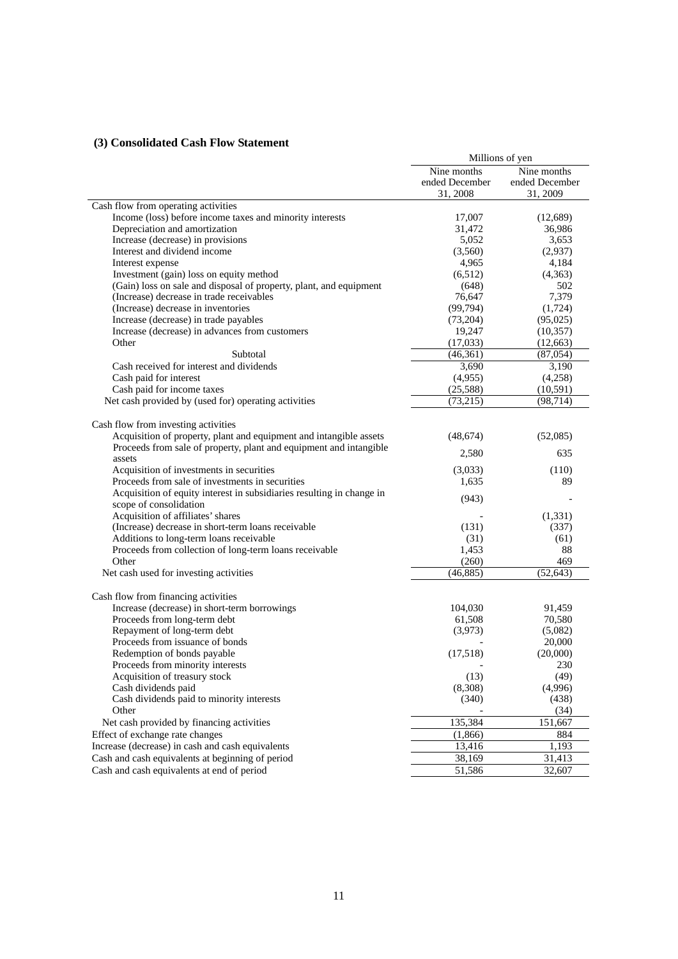# **(3) Consolidated Cash Flow Statement**

|                                                                                                               | Millions of yen  |                 |  |
|---------------------------------------------------------------------------------------------------------------|------------------|-----------------|--|
|                                                                                                               | Nine months      | Nine months     |  |
|                                                                                                               | ended December   | ended December  |  |
|                                                                                                               | 31, 2008         | 31, 2009        |  |
| Cash flow from operating activities                                                                           |                  |                 |  |
| Income (loss) before income taxes and minority interests                                                      | 17,007           | (12,689)        |  |
| Depreciation and amortization                                                                                 | 31,472           | 36,986          |  |
| Increase (decrease) in provisions                                                                             | 5,052            | 3,653           |  |
| Interest and dividend income                                                                                  | (3,560)          | (2,937)         |  |
| Interest expense                                                                                              | 4,965<br>(6,512) | 4,184           |  |
| Investment (gain) loss on equity method<br>(Gain) loss on sale and disposal of property, plant, and equipment |                  | (4,363)<br>502  |  |
| (Increase) decrease in trade receivables                                                                      | (648)<br>76,647  | 7,379           |  |
| (Increase) decrease in inventories                                                                            | (99, 794)        | (1,724)         |  |
| Increase (decrease) in trade payables                                                                         | (73,204)         | (95,025)        |  |
| Increase (decrease) in advances from customers                                                                | 19,247           | (10, 357)       |  |
| Other                                                                                                         | (17,033)         | (12, 663)       |  |
| Subtotal                                                                                                      | (46,361)         | (87, 054)       |  |
| Cash received for interest and dividends                                                                      | 3,690            | 3,190           |  |
| Cash paid for interest                                                                                        | (4,955)          | (4,258)         |  |
| Cash paid for income taxes                                                                                    | (25,588)         | (10, 591)       |  |
| Net cash provided by (used for) operating activities                                                          | (73,215)         | (98, 714)       |  |
|                                                                                                               |                  |                 |  |
| Cash flow from investing activities                                                                           |                  |                 |  |
| Acquisition of property, plant and equipment and intangible assets                                            | (48,674)         | (52,085)        |  |
| Proceeds from sale of property, plant and equipment and intangible                                            |                  |                 |  |
| assets                                                                                                        | 2,580            | 635             |  |
| Acquisition of investments in securities                                                                      | (3,033)          | (110)           |  |
| Proceeds from sale of investments in securities                                                               | 1,635            | 89              |  |
| Acquisition of equity interest in subsidiaries resulting in change in                                         | (943)            |                 |  |
| scope of consolidation                                                                                        |                  |                 |  |
| Acquisition of affiliates' shares                                                                             |                  | (1, 331)        |  |
| (Increase) decrease in short-term loans receivable                                                            | (131)            | (337)           |  |
| Additions to long-term loans receivable                                                                       | (31)             | (61)            |  |
| Proceeds from collection of long-term loans receivable                                                        | 1,453            | 88              |  |
| Other                                                                                                         | (260)            | 469             |  |
| Net cash used for investing activities                                                                        | (46, 885)        | (52, 643)       |  |
|                                                                                                               |                  |                 |  |
| Cash flow from financing activities                                                                           |                  |                 |  |
| Increase (decrease) in short-term borrowings                                                                  | 104,030          | 91,459          |  |
| Proceeds from long-term debt                                                                                  | 61,508           | 70,580          |  |
| Repayment of long-term debt                                                                                   | (3,973)          | (5,082)         |  |
| Proceeds from issuance of bonds<br>Redemption of bonds payable                                                |                  | 20,000          |  |
| Proceeds from minority interests                                                                              | (17,518)         | (20,000)<br>230 |  |
| Acquisition of treasury stock                                                                                 | (13)             | (49)            |  |
| Cash dividends paid                                                                                           | (8,308)          | (4,996)         |  |
| Cash dividends paid to minority interests                                                                     | (340)            | (438)           |  |
| Other                                                                                                         |                  | (34)            |  |
| Net cash provided by financing activities                                                                     | 135,384          | 151,667         |  |
| Effect of exchange rate changes                                                                               | (1,866)          | 884             |  |
| Increase (decrease) in cash and cash equivalents                                                              | 13,416           | 1,193           |  |
| Cash and cash equivalents at beginning of period                                                              | 38,169           | 31,413          |  |
| Cash and cash equivalents at end of period                                                                    | 51,586           | 32,607          |  |
|                                                                                                               |                  |                 |  |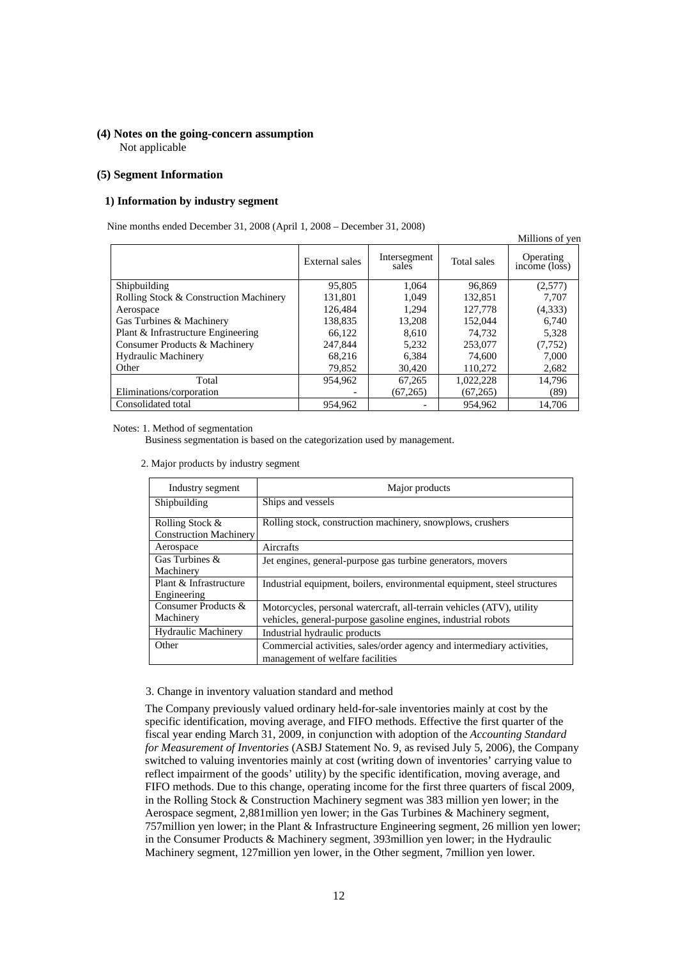## **(4) Notes on the going-concern assumption**  Not applicable

## **(5) Segment Information**

#### **1) Information by industry segment**

Nine months ended December 31, 2008 (April 1, 2008 – December 31, 2008)

|                                        |                |                       |             | Millions of yen                         |
|----------------------------------------|----------------|-----------------------|-------------|-----------------------------------------|
|                                        | External sales | Intersegment<br>sales | Total sales | Operating<br>$inc\overline{one}$ (loss) |
| Shipbuilding                           | 95,805         | 1.064                 | 96,869      | (2,577)                                 |
| Rolling Stock & Construction Machinery | 131,801        | 1.049                 | 132,851     | 7.707                                   |
| Aerospace                              | 126,484        | 1.294                 | 127,778     | (4,333)                                 |
| Gas Turbines & Machinery               | 138,835        | 13,208                | 152,044     | 6.740                                   |
| Plant & Infrastructure Engineering     | 66.122         | 8.610                 | 74.732      | 5.328                                   |
| Consumer Products & Machinery          | 247,844        | 5,232                 | 253,077     | (7, 752)                                |
| <b>Hydraulic Machinery</b>             | 68.216         | 6.384                 | 74,600      | 7,000                                   |
| Other                                  | 79,852         | 30,420                | 110,272     | 2,682                                   |
| Total                                  | 954.962        | 67,265                | 1,022,228   | 14,796                                  |
| Eliminations/corporation               |                | (67,265)              | (67,265)    | (89)                                    |
| Consolidated total                     | 954.962        |                       | 954.962     | 14.706                                  |

Notes: 1. Method of segmentation

Business segmentation is based on the categorization used by management.

2. Major products by industry segment

| Industry segment                                 | Major products                                                                                                                         |
|--------------------------------------------------|----------------------------------------------------------------------------------------------------------------------------------------|
| Shipbuilding                                     | Ships and vessels                                                                                                                      |
| Rolling Stock &<br><b>Construction Machinery</b> | Rolling stock, construction machinery, snowplows, crushers                                                                             |
| Aerospace                                        | Aircrafts                                                                                                                              |
| Gas Turbines &<br>Machinery                      | Jet engines, general-purpose gas turbine generators, movers                                                                            |
| Plant & Infrastructure<br>Engineering            | Industrial equipment, boilers, environmental equipment, steel structures                                                               |
| Consumer Products &<br>Machinery                 | Motorcycles, personal watercraft, all-terrain vehicles (ATV), utility<br>vehicles, general-purpose gasoline engines, industrial robots |
| <b>Hydraulic Machinery</b>                       | Industrial hydraulic products                                                                                                          |
| Other                                            | Commercial activities, sales/order agency and intermediary activities,<br>management of welfare facilities                             |

### 3. Change in inventory valuation standard and method

The Company previously valued ordinary held-for-sale inventories mainly at cost by the specific identification, moving average, and FIFO methods. Effective the first quarter of the fiscal year ending March 31, 2009, in conjunction with adoption of the *Accounting Standard for Measurement of Inventories* (ASBJ Statement No. 9, as revised July 5, 2006), the Company switched to valuing inventories mainly at cost (writing down of inventories' carrying value to reflect impairment of the goods' utility) by the specific identification, moving average, and FIFO methods. Due to this change, operating income for the first three quarters of fiscal 2009, in the Rolling Stock & Construction Machinery segment was 383 million yen lower; in the Aerospace segment, 2,881million yen lower; in the Gas Turbines & Machinery segment, 757million yen lower; in the Plant & Infrastructure Engineering segment, 26 million yen lower; in the Consumer Products & Machinery segment, 393million yen lower; in the Hydraulic Machinery segment, 127million yen lower, in the Other segment, 7million yen lower.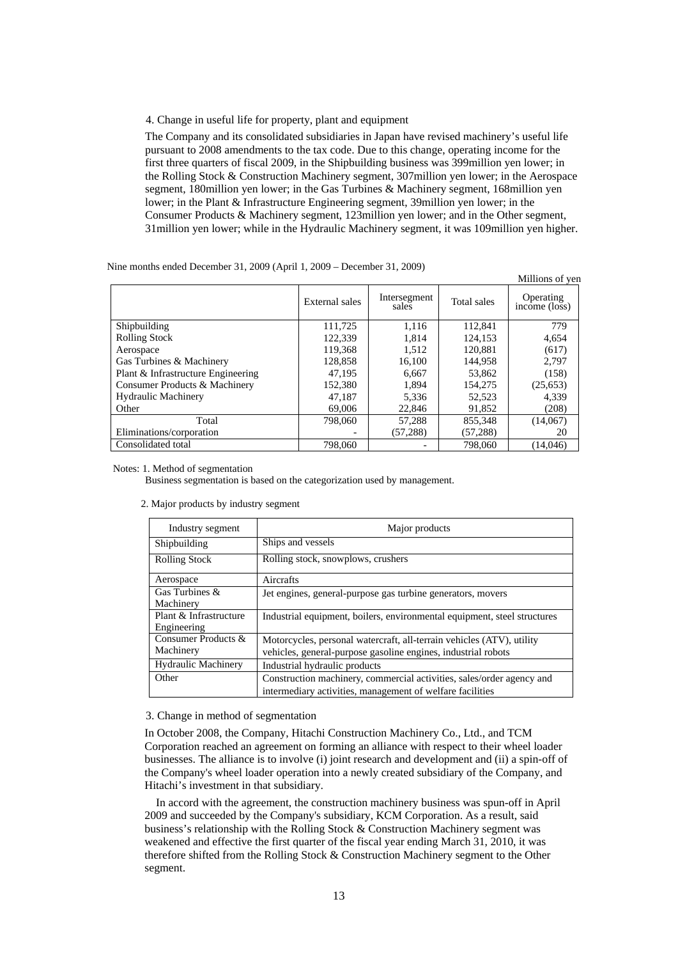4. Change in useful life for property, plant and equipment

The Company and its consolidated subsidiaries in Japan have revised machinery's useful life pursuant to 2008 amendments to the tax code. Due to this change, operating income for the first three quarters of fiscal 2009, in the Shipbuilding business was 399million yen lower; in the Rolling Stock & Construction Machinery segment, 307million yen lower; in the Aerospace segment, 180million yen lower; in the Gas Turbines & Machinery segment, 168million yen lower; in the Plant & Infrastructure Engineering segment, 39million yen lower; in the Consumer Products & Machinery segment, 123million yen lower; and in the Other segment, 31million yen lower; while in the Hydraulic Machinery segment, it was 109million yen higher.

|                                    |                |                       |             | Millions of ven            |
|------------------------------------|----------------|-----------------------|-------------|----------------------------|
|                                    | External sales | Intersegment<br>sales | Total sales | Operating<br>income (loss) |
| Shipbuilding                       | 111,725        | 1,116                 | 112,841     | 779                        |
| <b>Rolling Stock</b>               | 122,339        | 1.814                 | 124.153     | 4.654                      |
| Aerospace                          | 119,368        | 1,512                 | 120,881     | (617)                      |
| Gas Turbines & Machinery           | 128,858        | 16,100                | 144.958     | 2.797                      |
| Plant & Infrastructure Engineering | 47.195         | 6,667                 | 53,862      | (158)                      |
| Consumer Products & Machinery      | 152.380        | 1.894                 | 154,275     | (25,653)                   |
| <b>Hydraulic Machinery</b>         | 47,187         | 5,336                 | 52,523      | 4,339                      |
| Other                              | 69,006         | 22,846                | 91,852      | (208)                      |
| Total                              | 798,060        | 57,288                | 855.348     | (14,067)                   |
| Eliminations/corporation           |                | (57, 288)             | (57, 288)   | 20                         |
| Consolidated total                 | 798,060        |                       | 798,060     | (14.046)                   |

Nine months ended December 31, 2009 (April 1, 2009 – December 31, 2009)

Notes: 1. Method of segmentation

Business segmentation is based on the categorization used by management.

| Industry segment                      | Major products                                                                                                                         |
|---------------------------------------|----------------------------------------------------------------------------------------------------------------------------------------|
| Shipbuilding                          | Ships and vessels                                                                                                                      |
| <b>Rolling Stock</b>                  | Rolling stock, snowplows, crushers                                                                                                     |
| Aerospace                             | Aircrafts                                                                                                                              |
| Gas Turbines &<br>Machinery           | Jet engines, general-purpose gas turbine generators, movers                                                                            |
| Plant & Infrastructure<br>Engineering | Industrial equipment, boilers, environmental equipment, steel structures                                                               |
| Consumer Products &<br>Machinery      | Motorcycles, personal watercraft, all-terrain vehicles (ATV), utility<br>vehicles, general-purpose gasoline engines, industrial robots |
| <b>Hydraulic Machinery</b>            | Industrial hydraulic products                                                                                                          |
| Other                                 | Construction machinery, commercial activities, sales/order agency and<br>intermediary activities, management of welfare facilities     |

#### 2. Major products by industry segment

### 3. Change in method of segmentation

In October 2008, the Company, Hitachi Construction Machinery Co., Ltd., and TCM Corporation reached an agreement on forming an alliance with respect to their wheel loader businesses. The alliance is to involve (i) joint research and development and (ii) a spin-off of the Company's wheel loader operation into a newly created subsidiary of the Company, and Hitachi's investment in that subsidiary.

In accord with the agreement, the construction machinery business was spun-off in April 2009 and succeeded by the Company's subsidiary, KCM Corporation. As a result, said business's relationship with the Rolling Stock & Construction Machinery segment was weakened and effective the first quarter of the fiscal year ending March 31, 2010, it was therefore shifted from the Rolling Stock & Construction Machinery segment to the Other segment.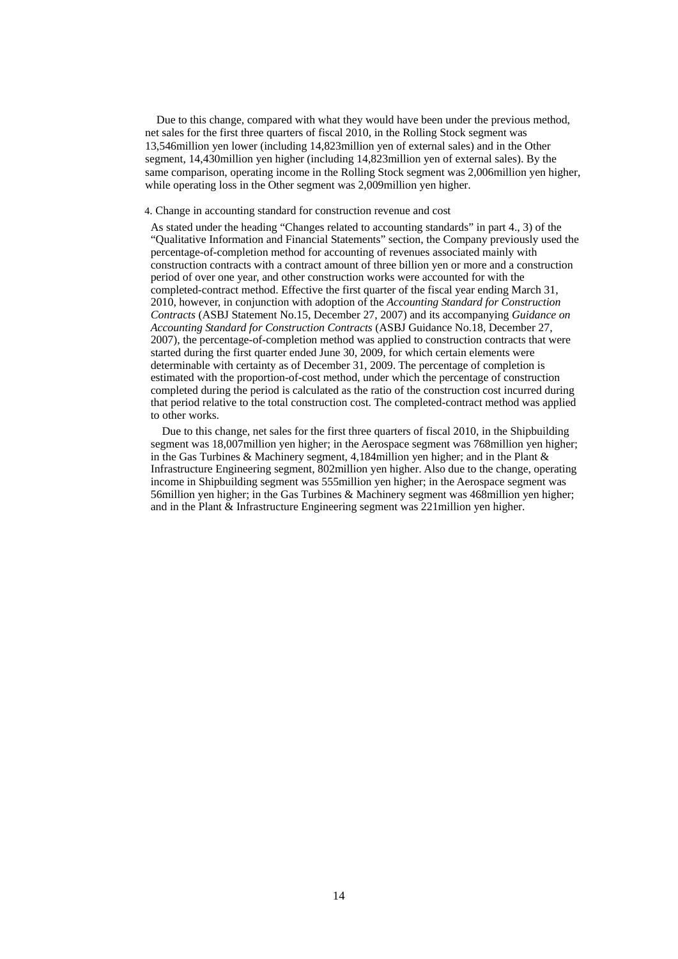Due to this change, compared with what they would have been under the previous method, net sales for the first three quarters of fiscal 2010, in the Rolling Stock segment was 13,546million yen lower (including 14,823million yen of external sales) and in the Other segment, 14,430million yen higher (including 14,823million yen of external sales). By the same comparison, operating income in the Rolling Stock segment was 2,006million yen higher, while operating loss in the Other segment was 2,009million yen higher.

### 4. Change in accounting standard for construction revenue and cost

As stated under the heading "Changes related to accounting standards" in part 4., 3) of the "Qualitative Information and Financial Statements" section, the Company previously used the percentage-of-completion method for accounting of revenues associated mainly with construction contracts with a contract amount of three billion yen or more and a construction period of over one year, and other construction works were accounted for with the completed-contract method. Effective the first quarter of the fiscal year ending March 31, 2010, however, in conjunction with adoption of the *Accounting Standard for Construction Contracts* (ASBJ Statement No.15, December 27, 2007) and its accompanying *Guidance on Accounting Standard for Construction Contracts* (ASBJ Guidance No.18, December 27, 2007), the percentage-of-completion method was applied to construction contracts that were started during the first quarter ended June 30, 2009, for which certain elements were determinable with certainty as of December 31, 2009. The percentage of completion is estimated with the proportion-of-cost method, under which the percentage of construction completed during the period is calculated as the ratio of the construction cost incurred during that period relative to the total construction cost. The completed-contract method was applied to other works.

Due to this change, net sales for the first three quarters of fiscal 2010, in the Shipbuilding segment was 18,007million yen higher; in the Aerospace segment was 768million yen higher; in the Gas Turbines & Machinery segment, 4,184million yen higher; and in the Plant & Infrastructure Engineering segment, 802million yen higher. Also due to the change, operating income in Shipbuilding segment was 555million yen higher; in the Aerospace segment was 56million yen higher; in the Gas Turbines & Machinery segment was 468million yen higher; and in the Plant & Infrastructure Engineering segment was 221million yen higher.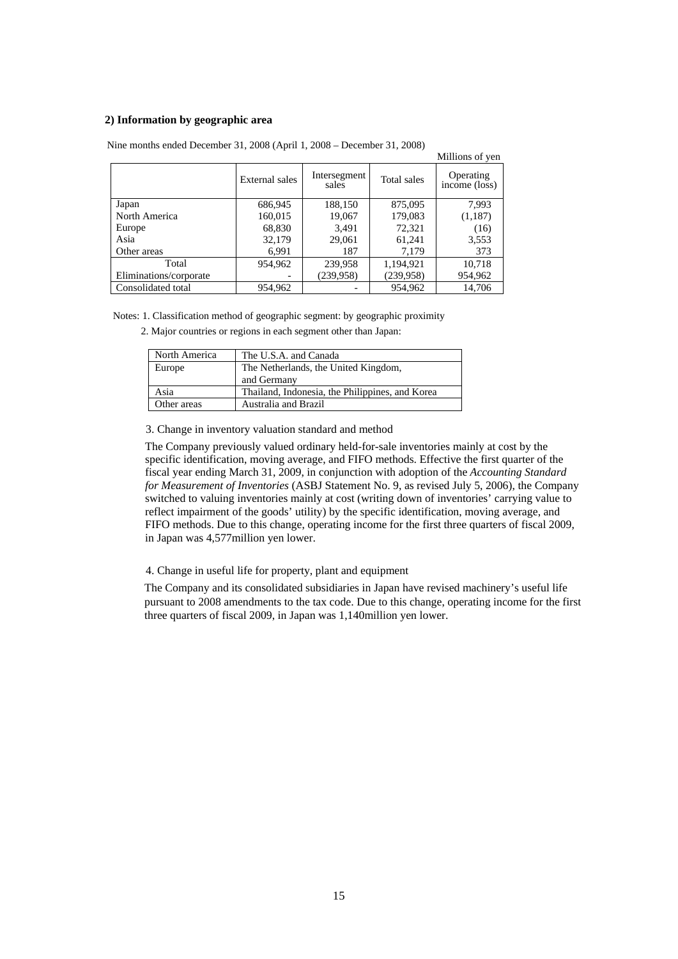## **2) Information by geographic area**

|                        |                |                       |             | MILLIONS OF VEN            |
|------------------------|----------------|-----------------------|-------------|----------------------------|
|                        | External sales | Intersegment<br>sales | Total sales | Operating<br>income (loss) |
| Japan                  | 686,945        | 188,150               | 875,095     | 7,993                      |
| North America          | 160,015        | 19,067                | 179,083     | (1,187)                    |
| Europe                 | 68,830         | 3,491                 | 72,321      | (16)                       |
| Asia                   | 32,179         | 29,061                | 61,241      | 3,553                      |
| Other areas            | 6,991          | 187                   | 7,179       | 373                        |
| Total                  | 954,962        | 239,958               | 1,194,921   | 10,718                     |
| Eliminations/corporate |                | (239, 958)            | (239, 958)  | 954,962                    |
| Consolidated total     | 954,962        |                       | 954,962     | 14,706                     |

Nine months ended December 31, 2008 (April 1, 2008 – December 31, 2008)

Notes: 1. Classification method of geographic segment: by geographic proximity

2. Major countries or regions in each segment other than Japan:

| North America | The U.S.A. and Canada                           |
|---------------|-------------------------------------------------|
| Europe        | The Netherlands, the United Kingdom,            |
|               | and Germany                                     |
| Asia          | Thailand, Indonesia, the Philippines, and Korea |
| Other areas   | Australia and Brazil                            |

3. Change in inventory valuation standard and method

The Company previously valued ordinary held-for-sale inventories mainly at cost by the specific identification, moving average, and FIFO methods. Effective the first quarter of the fiscal year ending March 31, 2009, in conjunction with adoption of the *Accounting Standard for Measurement of Inventories* (ASBJ Statement No. 9, as revised July 5, 2006), the Company switched to valuing inventories mainly at cost (writing down of inventories' carrying value to reflect impairment of the goods' utility) by the specific identification, moving average, and FIFO methods. Due to this change, operating income for the first three quarters of fiscal 2009, in Japan was 4,577million yen lower.

millions of years of years of years of years and distinctive the thread the thread the thread thread thread th<br>Albert Schwarz of Schwarz (1988) of the thread team of year the set of year of year of year of year thread thr<br>

4. Change in useful life for property, plant and equipment

The Company and its consolidated subsidiaries in Japan have revised machinery's useful life pursuant to 2008 amendments to the tax code. Due to this change, operating income for the first three quarters of fiscal 2009, in Japan was 1,140million yen lower.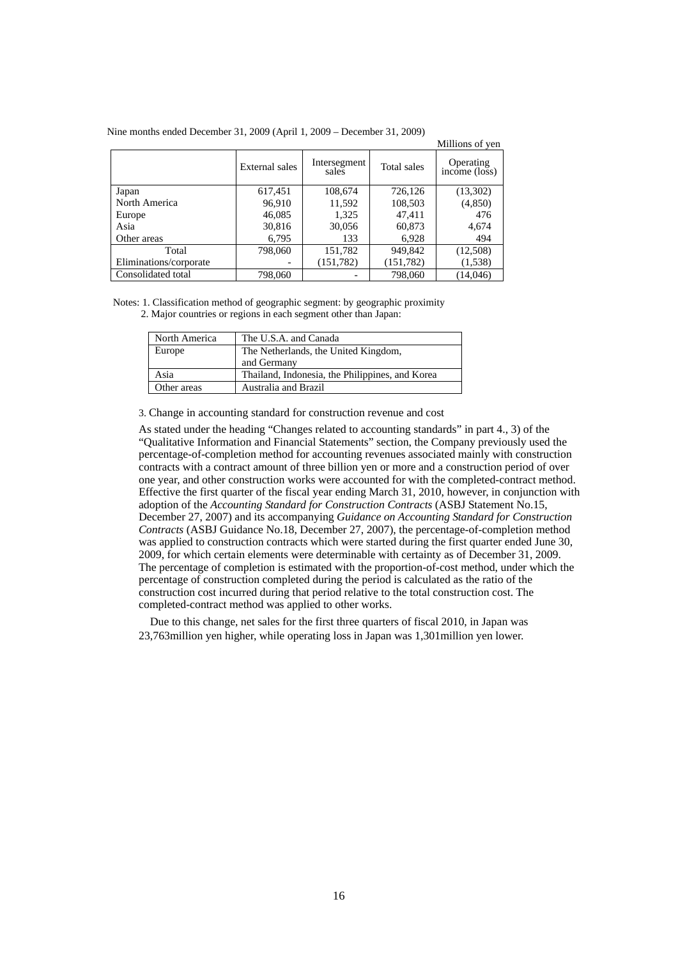|                        |                |                       |             | Millions of yen            |
|------------------------|----------------|-----------------------|-------------|----------------------------|
|                        | External sales | Intersegment<br>sales | Total sales | Operating<br>income (loss) |
| Japan                  | 617,451        | 108,674               | 726,126     | (13,302)                   |
| North America          | 96,910         | 11,592                | 108,503     | (4,850)                    |
| Europe                 | 46,085         | 1,325                 | 47,411      | 476                        |
| Asia                   | 30,816         | 30,056                | 60,873      | 4,674                      |
| Other areas            | 6,795          | 133                   | 6,928       | 494                        |
| Total                  | 798,060        | 151,782               | 949,842     | (12,508)                   |
| Eliminations/corporate |                | (151, 782)            | (151, 782)  | (1,538)                    |
| Consolidated total     | 798,060        |                       | 798,060     | (14,046)                   |

Nine months ended December 31, 2009 (April 1, 2009 – December 31, 2009)

Notes: 1. Classification method of geographic segment: by geographic proximity 2. Major countries or regions in each segment other than Japan:

| North America | The U.S.A. and Canada                           |
|---------------|-------------------------------------------------|
| Europe        | The Netherlands, the United Kingdom,            |
|               | and Germany                                     |
| Asia          | Thailand, Indonesia, the Philippines, and Korea |
| Other areas   | Australia and Brazil                            |

3. Change in accounting standard for construction revenue and cost

As stated under the heading "Changes related to accounting standards" in part 4., 3) of the "Qualitative Information and Financial Statements" section, the Company previously used the percentage-of-completion method for accounting revenues associated mainly with construction contracts with a contract amount of three billion yen or more and a construction period of over one year, and other construction works were accounted for with the completed-contract method. Effective the first quarter of the fiscal year ending March 31, 2010, however, in conjunction with adoption of the *Accounting Standard for Construction Contracts* (ASBJ Statement No.15, December 27, 2007) and its accompanying *Guidance on Accounting Standard for Construction Contracts* (ASBJ Guidance No.18, December 27, 2007), the percentage-of-completion method was applied to construction contracts which were started during the first quarter ended June 30, 2009, for which certain elements were determinable with certainty as of December 31, 2009. The percentage of completion is estimated with the proportion-of-cost method, under which the percentage of construction completed during the period is calculated as the ratio of the construction cost incurred during that period relative to the total construction cost. The completed-contract method was applied to other works.

Due to this change, net sales for the first three quarters of fiscal 2010, in Japan was 23,763million yen higher, while operating loss in Japan was 1,301million yen lower.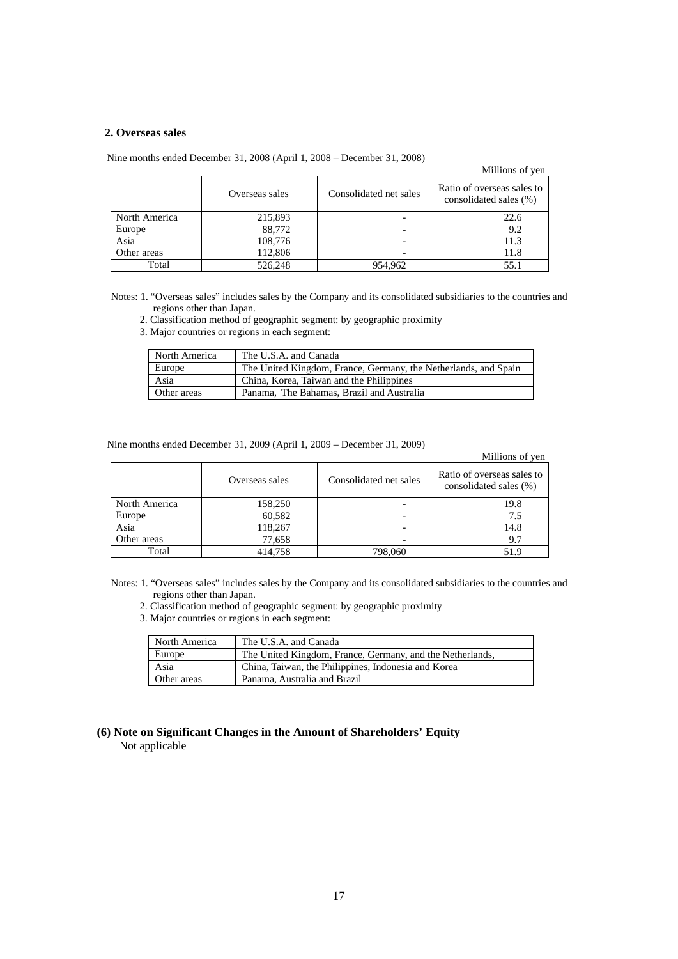## **2. Overseas sales**

|  | Nine months ended December 31, 2008 (April 1, 2008 – December 31, 2008) |  |  |  |
|--|-------------------------------------------------------------------------|--|--|--|
|--|-------------------------------------------------------------------------|--|--|--|

## Millions of yen

|               | Overseas sales | Consolidated net sales | Ratio of overseas sales to<br>consolidated sales (%) |
|---------------|----------------|------------------------|------------------------------------------------------|
| North America | 215,893        |                        | 22.6                                                 |
| Europe        | 88,772         |                        | 9.2                                                  |
| Asia          | 108,776        |                        | 11.3                                                 |
| Other areas   | 112,806        |                        | 11.8                                                 |
| Total         | 526,248        | 954,962                | 55.1                                                 |

Notes: 1. "Overseas sales" includes sales by the Company and its consolidated subsidiaries to the countries and regions other than Japan.

2. Classification method of geographic segment: by geographic proximity

3. Major countries or regions in each segment:

| l North America | The U.S.A. and Canada                                           |
|-----------------|-----------------------------------------------------------------|
| Europe          | The United Kingdom, France, Germany, the Netherlands, and Spain |
| Asia            | China, Korea, Taiwan and the Philippines                        |
| Other areas     | Panama, The Bahamas, Brazil and Australia                       |

Nine months ended December 31, 2009 (April 1, 2009 – December 31, 2009)

### Millions of yen

|               | Overseas sales | Consolidated net sales | Ratio of overseas sales to<br>consolidated sales (%) |
|---------------|----------------|------------------------|------------------------------------------------------|
| North America | 158,250        |                        | 19.8                                                 |
| Europe        | 60,582         |                        | 7.5                                                  |
| Asia          | 118,267        |                        | 14.8                                                 |
| Other areas   | 77,658         |                        | 9.7                                                  |
| Total         | 414,758        | 798,060                | 51.9                                                 |

Notes: 1. "Overseas sales" includes sales by the Company and its consolidated subsidiaries to the countries and regions other than Japan.

- 2. Classification method of geographic segment: by geographic proximity
- 3. Major countries or regions in each segment:

| North America | The U.S.A. and Canada                                     |
|---------------|-----------------------------------------------------------|
| Europe        | The United Kingdom, France, Germany, and the Netherlands, |
| Asia          | China, Taiwan, the Philippines, Indonesia and Korea       |
| Other areas   | Panama, Australia and Brazil                              |

# **(6) Note on Significant Changes in the Amount of Shareholders' Equity**  Not applicable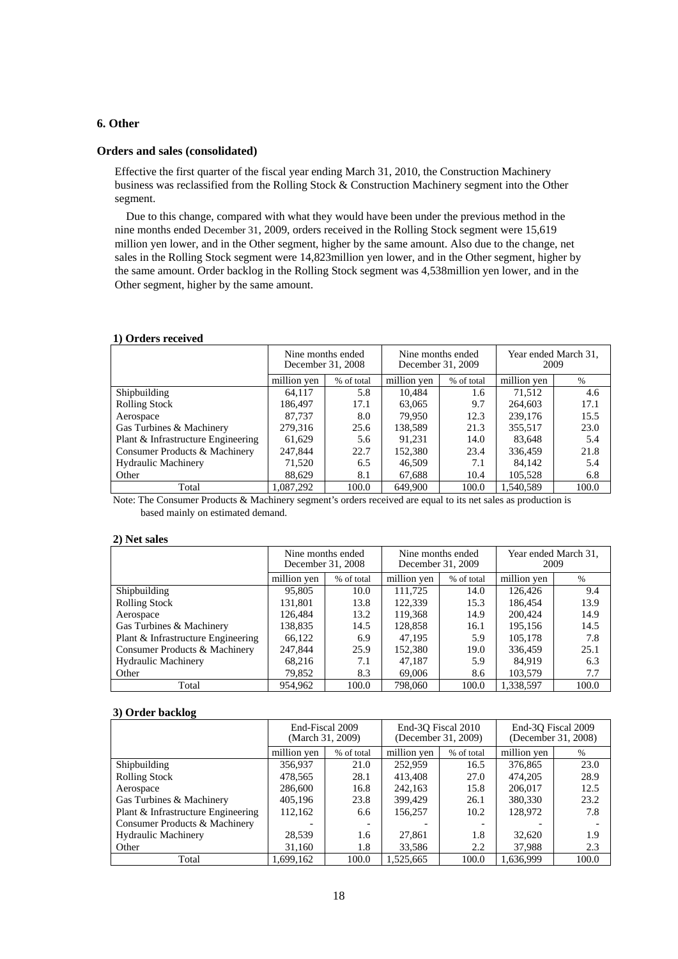# **6. Other**

### **Orders and sales (consolidated)**

Effective the first quarter of the fiscal year ending March 31, 2010, the Construction Machinery business was reclassified from the Rolling Stock & Construction Machinery segment into the Other segment.

Due to this change, compared with what they would have been under the previous method in the nine months ended December 31, 2009, orders received in the Rolling Stock segment were 15,619 million yen lower, and in the Other segment, higher by the same amount. Also due to the change, net sales in the Rolling Stock segment were 14,823million yen lower, and in the Other segment, higher by the same amount. Order backlog in the Rolling Stock segment was 4,538million yen lower, and in the Other segment, higher by the same amount.

### **1) Orders received**

|                                    | Nine months ended<br>December 31, 2008<br>million ven<br>% of total |       | Nine months ended<br>December 31, 2009 |            | Year ended March 31,<br>2009 |       |
|------------------------------------|---------------------------------------------------------------------|-------|----------------------------------------|------------|------------------------------|-------|
|                                    |                                                                     |       | million yen                            | % of total | million yen                  | $\%$  |
| Shipbuilding                       | 64.117                                                              | 5.8   | 10.484                                 | 1.6        | 71.512                       | 4.6   |
| <b>Rolling Stock</b>               | 186.497                                                             | 17.1  | 63,065                                 | 9.7        | 264,603                      | 17.1  |
| Aerospace                          | 87,737                                                              | 8.0   | 79.950                                 | 12.3       | 239,176                      | 15.5  |
| Gas Turbines & Machinery           | 279,316<br>25.6                                                     |       | 138,589                                | 21.3       | 355,517                      | 23.0  |
| Plant & Infrastructure Engineering | 61.629                                                              | 5.6   | 91.231                                 | 14.0       | 83.648                       | 5.4   |
| Consumer Products & Machinery      | 247,844                                                             | 22.7  | 152.380                                | 23.4       | 336,459                      | 21.8  |
| <b>Hydraulic Machinery</b>         | 71.520                                                              | 6.5   | 46,509                                 | 7.1        | 84.142                       | 5.4   |
| Other                              | 88.629                                                              | 8.1   | 67,688                                 | 10.4       | 105.528                      | 6.8   |
| Total                              | 1.087.292                                                           | 100.0 | 649,900                                | 100.0      | 1.540.589                    | 100.0 |

Note: The Consumer Products & Machinery segment's orders received are equal to its net sales as production is based mainly on estimated demand.

#### **2) Net sales**

|                                    | Nine months ended<br>December 31, 2008 |       | Nine months ended<br>December 31, 2009 |       | Year ended March 31,<br>2009 |       |
|------------------------------------|----------------------------------------|-------|----------------------------------------|-------|------------------------------|-------|
|                                    | million yen<br>% of total              |       | million yen<br>% of total              |       | million yen                  | $\%$  |
| Shipbuilding                       | 95,805                                 | 10.0  | 111.725                                | 14.0  | 126.426                      | 9.4   |
| <b>Rolling Stock</b>               | 131.801                                | 13.8  | 122.339                                | 15.3  | 186.454                      | 13.9  |
| Aerospace                          | 126.484                                | 13.2  | 119,368                                | 14.9  | 200,424                      | 14.9  |
| Gas Turbines & Machinery           | 138,835                                | 14.5  | 128,858                                | 16.1  | 195,156                      | 14.5  |
| Plant & Infrastructure Engineering | 66,122                                 | 6.9   | 47.195                                 | 5.9   | 105,178                      | 7.8   |
| Consumer Products & Machinery      | 247,844                                | 25.9  | 152,380                                | 19.0  | 336.459                      | 25.1  |
| <b>Hydraulic Machinery</b>         | 68,216                                 | 7.1   | 47,187                                 | 5.9   | 84.919                       | 6.3   |
| Other                              | 79,852                                 | 8.3   | 69,006                                 | 8.6   | 103,579                      | 7.7   |
| Total                              | 954.962                                | 100.0 | 798,060                                | 100.0 | 1,338,597                    | 100.0 |

### **3) Order backlog**

|                                    | End-Fiscal 2009<br>(March 31, 2009) |                          |                           | End-30 Fiscal 2010<br>(December 31, 2009) | End-30 Fiscal 2009<br>(December 31, 2008) |       |
|------------------------------------|-------------------------------------|--------------------------|---------------------------|-------------------------------------------|-------------------------------------------|-------|
|                                    | million yen                         | % of total               | million yen<br>% of total |                                           | million yen                               | $\%$  |
| Shipbuilding                       | 356,937                             | 21.0                     | 252,959                   | 16.5                                      | 376,865                                   | 23.0  |
| <b>Rolling Stock</b>               | 478.565                             | 28.1                     | 413,408                   | 27.0                                      | 474,205                                   | 28.9  |
| Aerospace                          | 286,600                             | 16.8                     | 242,163                   | 15.8                                      | 206,017                                   | 12.5  |
| Gas Turbines & Machinery           | 405,196                             | 23.8                     | 399,429                   | 26.1                                      | 380,330                                   | 23.2  |
| Plant & Infrastructure Engineering | 112,162                             | 6.6                      | 156,257                   | 10.2                                      | 128,972                                   | 7.8   |
| Consumer Products & Machinery      |                                     | $\overline{\phantom{a}}$ |                           |                                           |                                           |       |
| <b>Hydraulic Machinery</b>         | 28,539                              | 1.6                      | 27,861                    | 1.8                                       | 32,620                                    | 1.9   |
| Other                              | 31,160                              | 1.8                      | 33,586                    | 2.2                                       | 37.988                                    | 2.3   |
| Total                              | 1,699,162                           | 100.0                    | 1.525.665                 | 100.0                                     | 1.636.999                                 | 100.0 |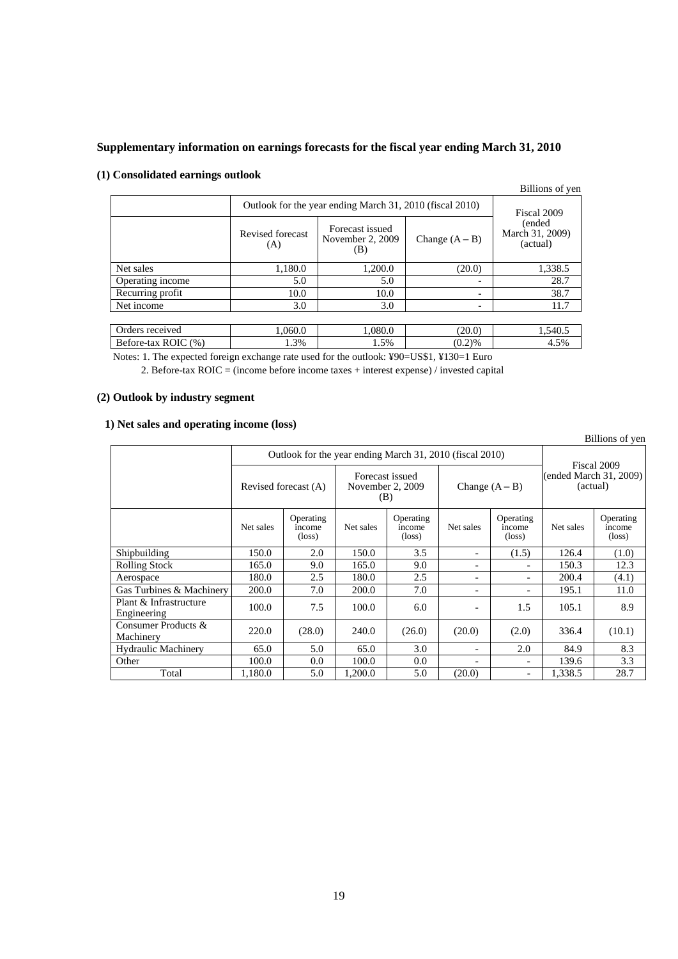# **Supplementary information on earnings forecasts for the fiscal year ending March 31, 2010**

|                     | Outlook for the year ending March 31, 2010 (fiscal 2010) |                                            |                  |                                       |  |  |  |  |
|---------------------|----------------------------------------------------------|--------------------------------------------|------------------|---------------------------------------|--|--|--|--|
|                     | Revised forecast<br>(A)                                  | Forecast issued<br>November 2, 2009<br>(B) | Change $(A - B)$ | (ended<br>March 31, 2009)<br>(actual) |  |  |  |  |
| Net sales           | 1,180.0                                                  | 1,200.0                                    | (20.0)           | 1,338.5                               |  |  |  |  |
| Operating income    | 5.0                                                      | 5.0                                        |                  | 28.7                                  |  |  |  |  |
| Recurring profit    | 10.0                                                     | 10.0                                       |                  | 38.7                                  |  |  |  |  |
| Net income          | 3.0                                                      | 3.0                                        |                  | 11.7                                  |  |  |  |  |
|                     |                                                          |                                            |                  |                                       |  |  |  |  |
| Orders received     | 1,060.0                                                  | 1,080.0                                    | (20.0)           | 1,540.5                               |  |  |  |  |
| Before-tax ROIC (%) | 1.3%                                                     | 1.5%                                       | (0.2)%           | 4.5%                                  |  |  |  |  |

# **(1) Consolidated earnings outlook**

Notes: 1. The expected foreign exchange rate used for the outlook: ¥90=US\$1, ¥130=1 Euro

2. Before-tax ROIC = (income before income taxes + interest expense) / invested capital

# **(2) Outlook by industry segment**

## **1) Net sales and operating income (loss)**

Billions of yen

Billions of yen

|                                       | Outlook for the year ending March 31, 2010 (fiscal 2010) |                                        |                                            |                                        |                          |                                        |                                                   |                                        |
|---------------------------------------|----------------------------------------------------------|----------------------------------------|--------------------------------------------|----------------------------------------|--------------------------|----------------------------------------|---------------------------------------------------|----------------------------------------|
|                                       |                                                          | Revised forecast (A)                   | Forecast issued<br>November 2, 2009<br>(B) |                                        | Change $(A - B)$         |                                        | Fiscal 2009<br>(ended March 31, 2009)<br>(actual) |                                        |
|                                       | Net sales                                                | Operating<br>income<br>$(\text{loss})$ | Net sales                                  | Operating<br>income<br>$(\text{loss})$ | Net sales                | Operating<br>income<br>$(\text{loss})$ | Net sales                                         | Operating<br>income<br>$(\text{loss})$ |
| Shipbuilding                          | 150.0                                                    | 2.0                                    | 150.0                                      | 3.5                                    | $\overline{\phantom{a}}$ | (1.5)                                  | 126.4                                             | (1.0)                                  |
| <b>Rolling Stock</b>                  | 165.0                                                    | 9.0                                    | 165.0                                      | 9.0                                    | $\overline{\phantom{a}}$ |                                        | 150.3                                             | 12.3                                   |
| Aerospace                             | 180.0                                                    | 2.5                                    | 180.0                                      | 2.5                                    | $\overline{\phantom{a}}$ |                                        | 200.4                                             | (4.1)                                  |
| Gas Turbines & Machinery              | 200.0                                                    | 7.0                                    | 200.0                                      | 7.0                                    | $\overline{\phantom{a}}$ | $\overline{\phantom{0}}$               | 195.1                                             | 11.0                                   |
| Plant & Infrastructure<br>Engineering | 100.0                                                    | 7.5                                    | 100.0                                      | 6.0                                    | $\overline{\phantom{a}}$ | 1.5                                    | 105.1                                             | 8.9                                    |
| Consumer Products &<br>Machinery      | 220.0                                                    | (28.0)                                 | 240.0                                      | (26.0)                                 | (20.0)                   | (2.0)                                  | 336.4                                             | (10.1)                                 |
| <b>Hydraulic Machinery</b>            | 65.0                                                     | 5.0                                    | 65.0                                       | 3.0                                    |                          | 2.0                                    | 84.9                                              | 8.3                                    |
| Other                                 | 100.0                                                    | 0.0                                    | 100.0                                      | 0.0                                    |                          |                                        | 139.6                                             | 3.3                                    |
| Total                                 | 1,180.0                                                  | 5.0                                    | 1.200.0                                    | 5.0                                    | (20.0)                   | $\overline{\phantom{a}}$               | 1,338.5                                           | 28.7                                   |